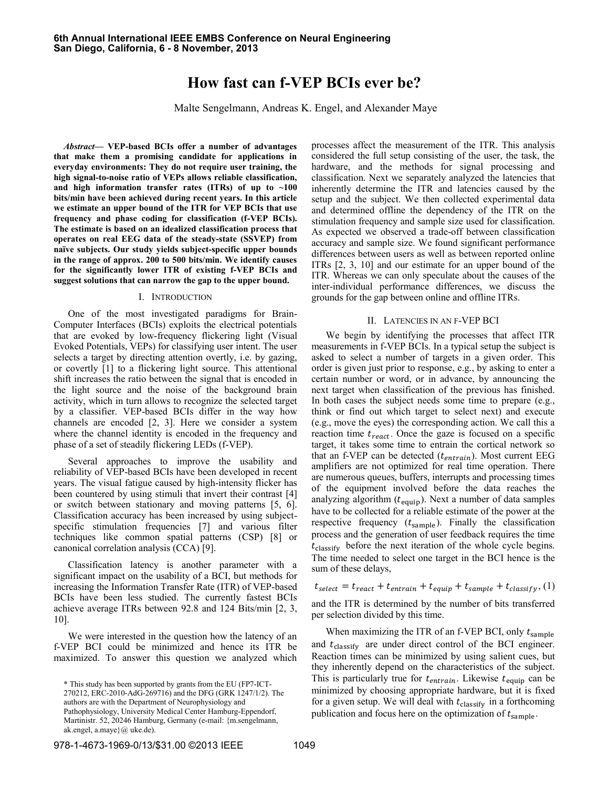# **How fast can f-VEP BCIs ever be?**

Malte Sengelmann, Andreas K. Engel, and Alexander Maye

*Abstract***— VEP-based BCIs offer a number of advantages that make them a promising candidate for applications in everyday environments: They do not require user training, the high signal-to-noise ratio of VEPs allows reliable classification, and high information transfer rates (ITRs) of up to ~100 bits/min have been achieved during recent years. In this article we estimate an upper bound of the ITR for VEP BCIs that use frequency and phase coding for classification (f-VEP BCIs). The estimate is based on an idealized classification process that operates on real EEG data of the steady-state (SSVEP) from naïve subjects. Our study yields subject-specific upper bounds in the range of approx. 200 to 500 bits/min. We identify causes for the significantly lower ITR of existing f-VEP BCIs and suggest solutions that can narrow the gap to the upper bound.**

## I. INTRODUCTION

One of the most investigated paradigms for Brain-Computer Interfaces (BCIs) exploits the electrical potentials that are evoked by low-frequency flickering light (Visual Evoked Potentials, VEPs) for classifying user intent. The user selects a target by directing attention overtly, i.e. by gazing, or covertly [1] to a flickering light source. This attentional shift increases the ratio between the signal that is encoded in the light source and the noise of the background brain activity, which in turn allows to recognize the selected target by a classifier. VEP-based BCIs differ in the way how channels are encoded [2, 3]. Here we consider a system where the channel identity is encoded in the frequency and phase of a set of steadily flickering LEDs (f-VEP).

Several approaches to improve the usability and reliability of VEP-based BCIs have been developed in recent years. The visual fatigue caused by high-intensity flicker has been countered by using stimuli that invert their contrast [4] or switch between stationary and moving patterns [5, 6]. Classification accuracy has been increased by using subjectspecific stimulation frequencies [7] and various filter techniques like common spatial patterns (CSP) [8] or canonical correlation analysis (CCA) [9].

Classification latency is another parameter with a significant impact on the usability of a BCI, but methods for increasing the Information Transfer Rate (ITR) of VEP-based BCIs have been less studied. The currently fastest BCIs achieve average ITRs between 92.8 and 124 Bits/min [2, 3, 10].

We were interested in the question how the latency of an f-VEP BCI could be minimized and hence its ITR be maximized. To answer this question we analyzed which

processes affect the measurement of the ITR. This analysis considered the full setup consisting of the user, the task, the hardware, and the methods for signal processing and classification. Next we separately analyzed the latencies that inherently determine the ITR and latencies caused by the setup and the subject. We then collected experimental data and determined offline the dependency of the ITR on the stimulation frequency and sample size used for classification. As expected we observed a trade-off between classification accuracy and sample size. We found significant performance differences between users as well as between reported online ITRs [2, 3, 10] and our estimate for an upper bound of the ITR. Whereas we can only speculate about the causes of the inter-individual performance differences, we discuss the grounds for the gap between online and offline ITRs.

## II. LATENCIES IN AN F-VEP BCI

We begin by identifying the processes that affect ITR measurements in f-VEP BCIs. In a typical setup the subject is asked to select a number of targets in a given order. This order is given just prior to response, e.g., by asking to enter a certain number or word, or in advance, by announcing the next target when classification of the previous has finished. In both cases the subject needs some time to prepare (e.g., think or find out which target to select next) and execute (e.g., move the eyes) the corresponding action. We call this a reaction time  $t_{react}$ . Once the gaze is focused on a specific target, it takes some time to entrain the cortical network so that an f-VEP can be detected  $(t<sub>entrain</sub>)$ . Most current EEG amplifiers are not optimized for real time operation. There are numerous queues, buffers, interrupts and processing times of the equipment involved before the data reaches the analyzing algorithm  $(t_{\text{equip}})$ . Next a number of data samples have to be collected for a reliable estimate of the power at the respective frequency  $(t_{\text{sample}})$ . Finally the classification process and the generation of user feedback requires the time  $t_{\text{classify}}$  before the next iteration of the whole cycle begins. The time needed to select one target in the BCI hence is the sum of these delays,

 $t_{select} = t_{react} + t_{entrain} + t_{equip} + t_{sample} + t_{classify}$ 

and the ITR is determined by the number of bits transferred per selection divided by this time.

When maximizing the ITR of an f-VEP BCI, only  $t_{\text{sample}}$ and  $t_{\text{classify}}$  are under direct control of the BCI engineer. Reaction times can be minimized by using salient cues, but they inherently depend on the characteristics of the subject. This is particularly true for  $t_{entrain}$ . Likewise  $t_{eaulip}$  can be minimized by choosing appropriate hardware, but it is fixed for a given setup. We will deal with  $t_{\text{classify}}$  in a forthcoming publication and focus here on the optimization of  $t_{\text{sample}}$ .

<sup>\*</sup> This study has been supported by grants from the EU (FP7-ICT-270212, ERC-2010-AdG-269716) and the DFG (GRK 1247/1/2). The authors are with the Department of Neurophysiology and Pathophysiology, University Medical Center Hamburg-Eppendorf, Martinistr. 52, 20246 Hamburg, Germany (e-mail: {m.sengelmann, ak.engel, a.maye}@ uke.de).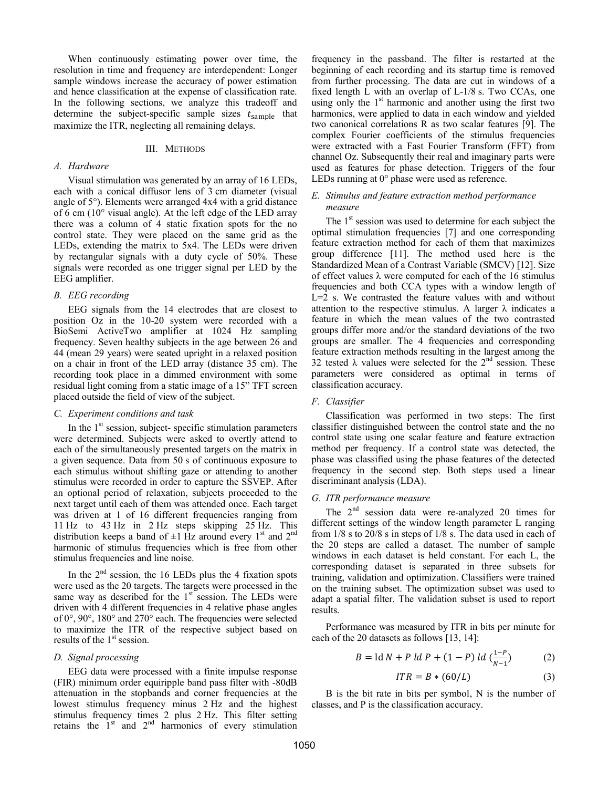When continuously estimating power over time, the resolution in time and frequency are interdependent: Longer sample windows increase the accuracy of power estimation and hence classification at the expense of classification rate. In the following sections, we analyze this tradeoff and determine the subject-specific sample sizes  $t_{\text{sample}}$  that maximize the ITR, neglecting all remaining delays.

#### III. METHODS

# *A. Hardware*

Visual stimulation was generated by an array of 16 LEDs, each with a conical diffusor lens of 3 cm diameter (visual angle of 5°). Elements were arranged 4x4 with a grid distance of 6 cm (10° visual angle). At the left edge of the LED array there was a column of 4 static fixation spots for the no control state. They were placed on the same grid as the LEDs, extending the matrix to 5x4. The LEDs were driven by rectangular signals with a duty cycle of 50%. These signals were recorded as one trigger signal per LED by the EEG amplifier.

#### *B. EEG recording*

EEG signals from the 14 electrodes that are closest to position Oz in the 10-20 system were recorded with a BioSemi ActiveTwo amplifier at 1024 Hz sampling frequency. Seven healthy subjects in the age between 26 and 44 (mean 29 years) were seated upright in a relaxed position on a chair in front of the LED array (distance 35 cm). The recording took place in a dimmed environment with some residual light coming from a static image of a 15" TFT screen placed outside the field of view of the subject.

## *C. Experiment conditions and task*

In the 1<sup>st</sup> session, subject- specific stimulation parameters were determined. Subjects were asked to overtly attend to each of the simultaneously presented targets on the matrix in a given sequence. Data from 50 s of continuous exposure to each stimulus without shifting gaze or attending to another stimulus were recorded in order to capture the SSVEP. After an optional period of relaxation, subjects proceeded to the next target until each of them was attended once. Each target was driven at 1 of 16 different frequencies ranging from 11 Hz to 43 Hz in 2 Hz steps skipping 25 Hz. This distribution keeps a band of  $\pm 1$  Hz around every 1<sup>st</sup> and 2<sup>nd</sup> harmonic of stimulus frequencies which is free from other stimulus frequencies and line noise.

In the  $2<sup>nd</sup>$  session, the 16 LEDs plus the 4 fixation spots were used as the 20 targets. The targets were processed in the same way as described for the  $1<sup>st</sup>$  session. The LEDs were driven with 4 different frequencies in 4 relative phase angles of 0°, 90°, 180° and 270° each. The frequencies were selected to maximize the ITR of the respective subject based on results of the 1<sup>st</sup> session.

# *D. Signal processing*

EEG data were processed with a finite impulse response (FIR) minimum order equiripple band pass filter with -80dB attenuation in the stopbands and corner frequencies at the lowest stimulus frequency minus 2 Hz and the highest stimulus frequency times 2 plus 2 Hz. This filter setting retains the  $1<sup>st</sup>$  and  $2<sup>nd</sup>$  harmonics of every stimulation

frequency in the passband. The filter is restarted at the beginning of each recording and its startup time is removed from further processing. The data are cut in windows of a fixed length L with an overlap of L-1/8 s. Two CCAs, one using only the  $1<sup>st</sup>$  harmonic and another using the first two harmonics, were applied to data in each window and yielded two canonical correlations R as two scalar features [9]. The complex Fourier coefficients of the stimulus frequencies were extracted with a Fast Fourier Transform (FFT) from channel Oz. Subsequently their real and imaginary parts were used as features for phase detection. Triggers of the four LEDs running at 0° phase were used as reference.

# *E. Stimulus and feature extraction method performance measure*

The  $1<sup>st</sup>$  session was used to determine for each subject the optimal stimulation frequencies [7] and one corresponding feature extraction method for each of them that maximizes group difference [11]. The method used here is the Standardized Mean of a Contrast Variable (SMCV) [12]. Size of effect values  $\lambda$  were computed for each of the 16 stimulus frequencies and both CCA types with a window length of L=2 s. We contrasted the feature values with and without attention to the respective stimulus. A larger  $\lambda$  indicates a feature in which the mean values of the two contrasted groups differ more and/or the standard deviations of the two groups are smaller. The 4 frequencies and corresponding feature extraction methods resulting in the largest among the 32 tested  $\lambda$  values were selected for the 2<sup>nd</sup> session. These parameters were considered as optimal in terms of classification accuracy.

#### *F. Classifier*

Classification was performed in two steps: The first classifier distinguished between the control state and the no control state using one scalar feature and feature extraction method per frequency. If a control state was detected, the phase was classified using the phase features of the detected frequency in the second step. Both steps used a linear discriminant analysis (LDA).

## *G. ITR performance measure*

The  $2<sup>nd</sup>$  session data were re-analyzed 20 times for different settings of the window length parameter L ranging from 1/8 s to 20/8 s in steps of 1/8 s. The data used in each of the 20 steps are called a dataset. The number of sample windows in each dataset is held constant. For each L, the corresponding dataset is separated in three subsets for training, validation and optimization. Classifiers were trained on the training subset. The optimization subset was used to adapt a spatial filter. The validation subset is used to report results.

Performance was measured by ITR in bits per minute for each of the 20 datasets as follows [13, 14]:

$$
B = \text{ld } N + P \text{ld } P + (1 - P) \text{ld } \left( \frac{1 - P}{N - 1} \right) \tag{2}
$$

$$
ITR = B * (60/L) \tag{3}
$$

B is the bit rate in bits per symbol, N is the number of classes, and P is the classification accuracy.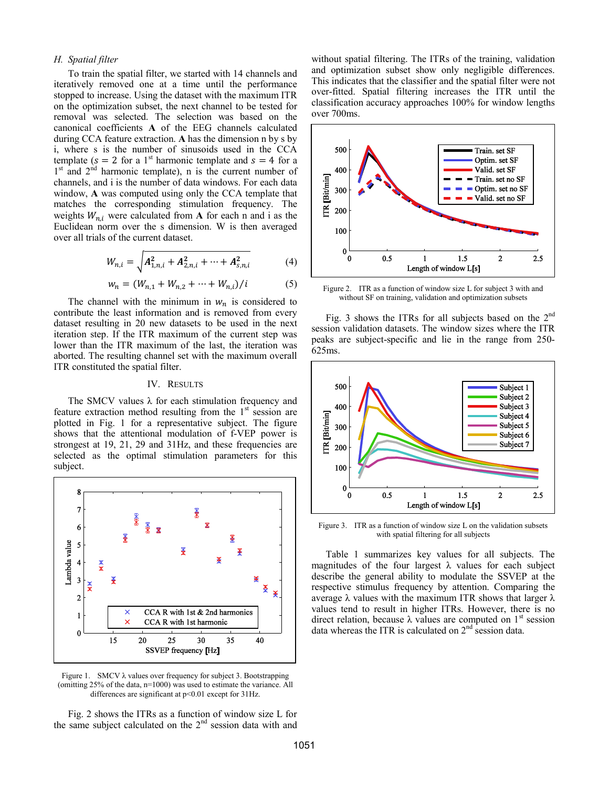# *H. Spatial filter*

To train the spatial filter, we started with 14 channels and iteratively removed one at a time until the performance stopped to increase. Using the dataset with the maximum ITR on the optimization subset, the next channel to be tested for removal was selected. The selection was based on the canonical coefficients **A** of the EEG channels calculated during CCA feature extraction. **A** has the dimension n by s by i, where s is the number of sinusoids used in the CCA template ( $s = 2$  for a 1<sup>st</sup> harmonic template and  $s = 4$  for a 1<sup>st</sup> and 2<sup>nd</sup> harmonic template), n is the current number of channels, and i is the number of data windows. For each data window, **A** was computed using only the CCA template that matches the corresponding stimulation frequency. The weights  $W_{n,i}$  were calculated from **A** for each n and i as the Euclidean norm over the s dimension. W is then averaged over all trials of the current dataset.

$$
W_{n,i} = \sqrt{A_{1,n,i}^2 + A_{2,n,i}^2 + \dots + A_{s,n,i}^2}
$$
 (4)

$$
w_n = (W_{n,1} + W_{n,2} + \dots + W_{n,i})/i \tag{5}
$$

The channel with the minimum in  $w_n$  is considered to contribute the least information and is removed from every dataset resulting in 20 new datasets to be used in the next iteration step. If the ITR maximum of the current step was lower than the ITR maximum of the last, the iteration was aborted. The resulting channel set with the maximum overall ITR constituted the spatial filter.

## IV. RESULTS

The SMCV values  $\lambda$  for each stimulation frequency and feature extraction method resulting from the  $1<sup>st</sup>$  session are plotted in Fig. 1 for a representative subject. The figure shows that the attentional modulation of f-VEP power is strongest at 19, 21, 29 and 31Hz, and these frequencies are selected as the optimal stimulation parameters for this subject.



Figure 1. SMCV  $\lambda$  values over frequency for subject 3. Bootstrapping (omitting 25% of the data, n=1000) was used to estimate the variance. All differences are significant at p<0.01 except for 31Hz.

Fig. 2 shows the ITRs as a function of window size L for the same subject calculated on the  $2<sup>nd</sup>$  session data with and without spatial filtering. The ITRs of the training, validation and optimization subset show only negligible differences. This indicates that the classifier and the spatial filter were not over-fitted. Spatial filtering increases the ITR until the classification accuracy approaches 100% for window lengths over 700ms.



Figure 2. ITR as a function of window size L for subject 3 with and without SF on training, validation and optimization subsets

Fig. 3 shows the ITRs for all subjects based on the  $2<sup>nd</sup>$ session validation datasets. The window sizes where the ITR peaks are subject-specific and lie in the range from 250- 625ms.



Figure 3. ITR as a function of window size L on the validation subsets with spatial filtering for all subjects

Table 1 summarizes key values for all subjects. The magnitudes of the four largest  $\lambda$  values for each subject describe the general ability to modulate the SSVEP at the respective stimulus frequency by attention. Comparing the average  $\lambda$  values with the maximum ITR shows that larger  $\lambda$ values tend to result in higher ITRs. However, there is no direct relation, because  $\lambda$  values are computed on 1<sup>st</sup> session data whereas the ITR is calculated on  $2<sup>nd</sup>$  session data.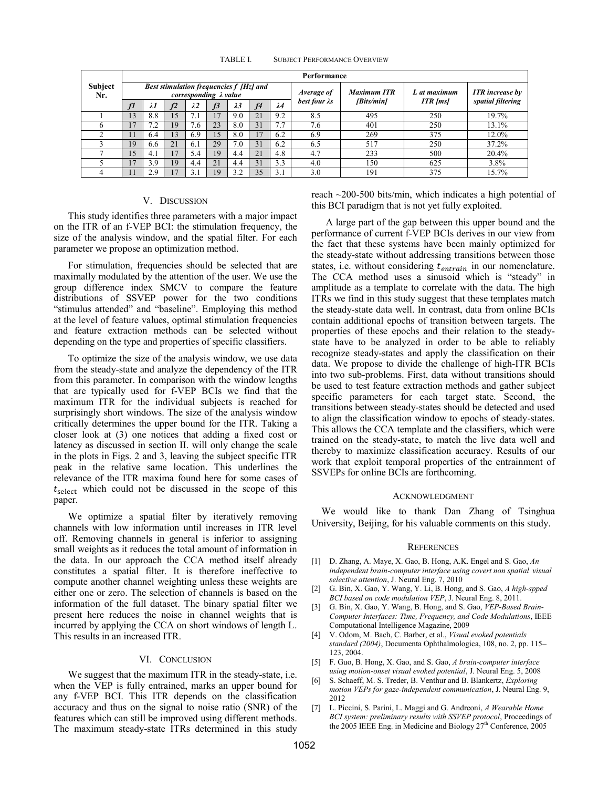TABLE I. SUBJECT PERFORMANCE OVERVIEW

|                       | Performance                                                              |             |            |                 |                |             |                |             |                       |                    |                 |                        |
|-----------------------|--------------------------------------------------------------------------|-------------|------------|-----------------|----------------|-------------|----------------|-------------|-----------------------|--------------------|-----------------|------------------------|
| <b>Subject</b><br>Nr. | Best stimulation frequencies f [Hz] and<br>corresponding $\lambda$ value |             |            |                 |                |             |                |             | Average of            | <b>Maximum ITR</b> | L at maximum    | <b>ITR</b> increase by |
|                       | f1                                                                       | $\lambda$ l | f2         | $\lambda$ 2     | f <sup>3</sup> | $\lambda$ 3 | f <sub>4</sub> | $\lambda_4$ | best four $\lambda s$ | [Bits/min]         | <b>ITR</b> [ms] | spatial filtering      |
|                       | 13                                                                       | 8.8         | 15         |                 | 17             | 9.0         | 21             | 9.2         | 8.5                   | 495                | 250             | 19.7%                  |
|                       | $\overline{7}$                                                           | 7.2         | 19         | $.6\phantom{0}$ | 23             | 8.0         | 31             | 7.7         | 7.6                   | 401                | 250             | 13.1%                  |
|                       | 11                                                                       | 6.4         | 13         | 6.9             | 15             | 8.0         | 17             | 6.2         | 6.9                   | 269                | 375             | 12.0%                  |
|                       | 19                                                                       | 6.6         | 21         | 6.1             | 29             | 7.0         | 31             | 6.2         | 6.5                   | 517                | 250             | 37.2%                  |
|                       | 15                                                                       | 4.1         |            | 5.4             | 19             | 4.4         | 21             | 4.8         | 4.7                   | 233                | 500             | 20.4%                  |
|                       | $\overline{17}$                                                          | 3.9         | 19         | 4.4             | 21             | 4.4         | 31             | 3.3         | 4.0                   | 150                | 625             | 3.8%                   |
|                       | 71                                                                       | 2.9         | $\sqrt{7}$ |                 | 19             | 3.2         | 35             | 3.1         | 3.0                   | 191                | 375             | 15.7%                  |

#### V. DISCUSSION

This study identifies three parameters with a major impact on the ITR of an f-VEP BCI: the stimulation frequency, the size of the analysis window, and the spatial filter. For each parameter we propose an optimization method.

For stimulation, frequencies should be selected that are maximally modulated by the attention of the user. We use the group difference index SMCV to compare the feature distributions of SSVEP power for the two conditions "stimulus attended" and "baseline". Employing this method at the level of feature values, optimal stimulation frequencies and feature extraction methods can be selected without depending on the type and properties of specific classifiers.

To optimize the size of the analysis window, we use data from the steady-state and analyze the dependency of the ITR from this parameter. In comparison with the window lengths that are typically used for f-VEP BCIs we find that the maximum ITR for the individual subjects is reached for surprisingly short windows. The size of the analysis window critically determines the upper bound for the ITR. Taking a closer look at (3) one notices that adding a fixed cost or latency as discussed in section II. will only change the scale in the plots in Figs. 2 and 3, leaving the subject specific ITR peak in the relative same location. This underlines the relevance of the ITR maxima found here for some cases of  $t_{select}$  which could not be discussed in the scope of this paper.

We optimize a spatial filter by iteratively removing channels with low information until increases in ITR level off. Removing channels in general is inferior to assigning small weights as it reduces the total amount of information in the data. In our approach the CCA method itself already constitutes a spatial filter. It is therefore ineffective to compute another channel weighting unless these weights are either one or zero. The selection of channels is based on the information of the full dataset. The binary spatial filter we present here reduces the noise in channel weights that is incurred by applying the CCA on short windows of length L. This results in an increased ITR.

# VI. CONCLUSION

We suggest that the maximum ITR in the steady-state, i.e. when the VEP is fully entrained, marks an upper bound for any f-VEP BCI. This ITR depends on the classification accuracy and thus on the signal to noise ratio (SNR) of the features which can still be improved using different methods. The maximum steady-state ITRs determined in this study

reach ~200-500 bits/min, which indicates a high potential of this BCI paradigm that is not yet fully exploited.

A large part of the gap between this upper bound and the performance of current f-VEP BCIs derives in our view from the fact that these systems have been mainly optimized for the steady-state without addressing transitions between those states, i.e. without considering  $t_{entrain}$  in our nomenclature. The CCA method uses a sinusoid which is "steady" in amplitude as a template to correlate with the data. The high ITRs we find in this study suggest that these templates match the steady-state data well. In contrast, data from online BCIs contain additional epochs of transition between targets. The properties of these epochs and their relation to the steadystate have to be analyzed in order to be able to reliably recognize steady-states and apply the classification on their data. We propose to divide the challenge of high-ITR BCIs into two sub-problems. First, data without transitions should be used to test feature extraction methods and gather subject specific parameters for each target state. Second, the transitions between steady-states should be detected and used to align the classification window to epochs of steady-states. This allows the CCA template and the classifiers, which were trained on the steady-state, to match the live data well and thereby to maximize classification accuracy. Results of our work that exploit temporal properties of the entrainment of SSVEPs for online BCIs are forthcoming.

#### ACKNOWLEDGMENT

We would like to thank Dan Zhang of Tsinghua University, Beijing, for his valuable comments on this study.

#### **REFERENCES**

- [1] D. Zhang, A. Maye, X. Gao, B. Hong, A.K. Engel and S. Gao, *An independent brain-computer interface using covert non spatial visual selective attention*, J. Neural Eng. 7, 2010
- [2] G. Bin, X. Gao, Y. Wang, Y. Li, B. Hong, and S. Gao, *A high-spped BCI based on code modulation VEP*, J. Neural Eng. 8, 2011.
- [3] G. Bin, X. Gao, Y. Wang, B. Hong, and S. Gao, *VEP-Based Brain-Computer Interfaces: Time, Frequency, and Code Modulations*, IEEE Computational Intelligence Magazine, 2009
- [4] V. Odom, M. Bach, C. Barber, et al., *Visual evoked potentials standard (2004)*, Documenta Ophthalmologica, 108, no. 2, pp. 115– 123, 2004.
- [5] F. Guo, B. Hong, X. Gao, and S. Gao, *A brain-computer interface using motion-onset visual evoked potential*, J. Neural Eng. 5, 2008
- [6] S. Schaeff, M. S. Treder, B. Venthur and B. Blankertz, *Exploring motion VEPs for gaze-independent communication*, J. Neural Eng. 9, 2012
- [7] L. Piccini, S. Parini, L. Maggi and G. Andreoni, *A Wearable Home BCI system: preliminary results with SSVEP protocol*, Proceedings of the 2005 IEEE Eng. in Medicine and Biology  $27<sup>th</sup>$  Conference, 2005